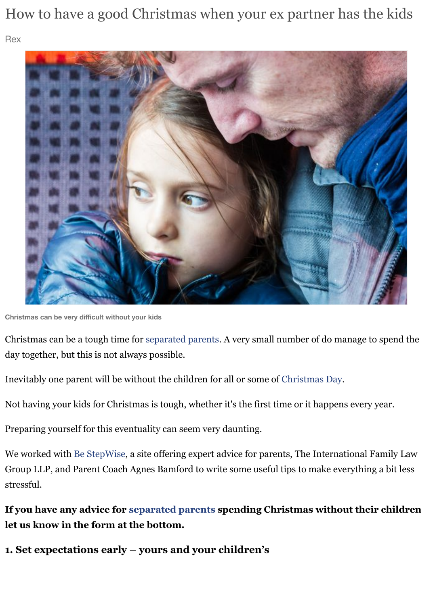

**Christmas can be very difficult without your kids**

Christmas can be a tough time for separated parents. A very small number of do manage to day together, but this is not always possible.

Inevitably one parent will be without the children for all or some of Christmas Day.

Not having your kids for Christmas is tough, whether it's the first time or it happens every y

Preparing yourself for this eventuality can seem very daunting.

We worked with Be StepWise, a si[te offering expert a](http://www.mirror.co.uk/all-about/divorce)dvice for parents, The International Fa Group LLP, and Parent Coach Agnes Bamford to write some useful tips to make everything stressful.

If you have any advice for separated parents spending Christmas without their **let us know in the form at the bottom.**

**1. Set expectations early – yours and your children's**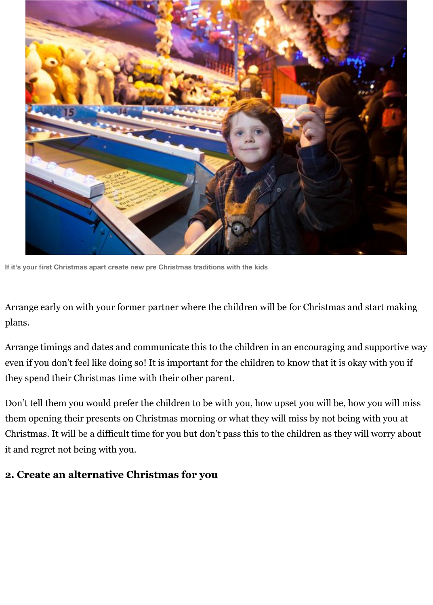

**If it's your first Christmas apart create new pre Christmas traditions with the kids**

Arrange early on with your former partner where the children will be for Christmas and start making plans.

Arrange timings and dates and communicate this to the children in an encouraging and supportive way even if you don't feel like doing so! It is important for the children to know that it is okay with you if they spend their Christmas time with their other parent.

Don't tell them you would prefer the children to be with you, how upset you will be, how you will miss them opening their presents on Christmas morning or what they will miss by not being with you at Christmas. It will be a difficult time for you but don't pass this to the children as they will worry about it and regret not being with you.

### **2. Create an alternative Christmas for you**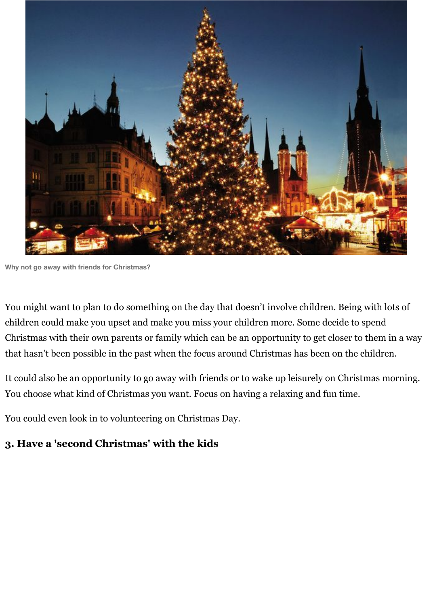

**Why not go away with friends for Christmas?**

You might want to plan to do something on the day that doesn't involve children. Being with lots of children could make you upset and make you miss your children more. Some decide to spend Christmas with their own parents or family which can be an opportunity to get closer to them in a way that hasn't been possible in the past when the focus around Christmas has been on the children.

It could also be an opportunity to go away with friends or to wake up leisurely on Christmas morning. You choose what kind of Christmas you want. Focus on having a relaxing and fun time.

You could even look in to volunteering on Christmas Day.

# **3. Have a 'second Christmas' with the kids**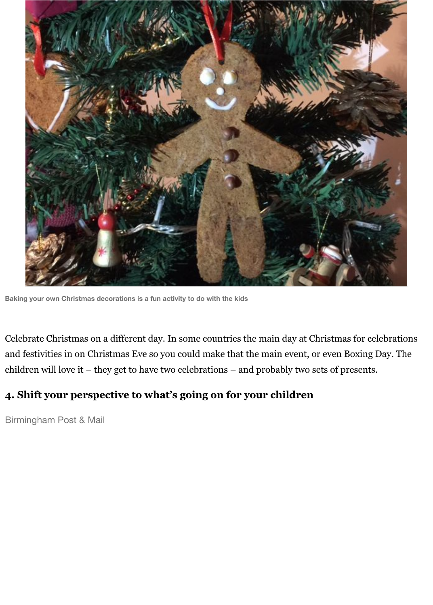

**Baking your own Christmas decorations is a fun activity to do with the kids**

Celebrate Christmas on a different day. In some countries the main day at Christmas for celebrations and festivities in on Christmas Eve so you could make that the main event, or even Boxing Day. The children will love it – they get to have two celebrations – and probably two sets of presents.

# **4. Shift your perspective to what's going on for your children**

Birmingham Post & Mail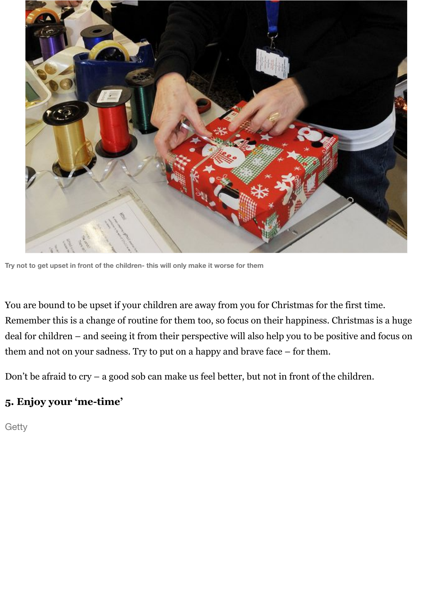

**Try not to get upset in front of the children- this will only make it worse for them**

You are bound to be upset if your children are away from you for Christmas for the first time. Remember this is a change of routine for them too, so focus on their happiness. Christmas is a huge deal for children – and seeing it from their perspective will also help you to be positive and focus on them and not on your sadness. Try to put on a happy and brave face – for them.

Don't be afraid to cry – a good sob can make us feel better, but not in front of the children.

#### **5. Enjoy your 'me-time'**

Getty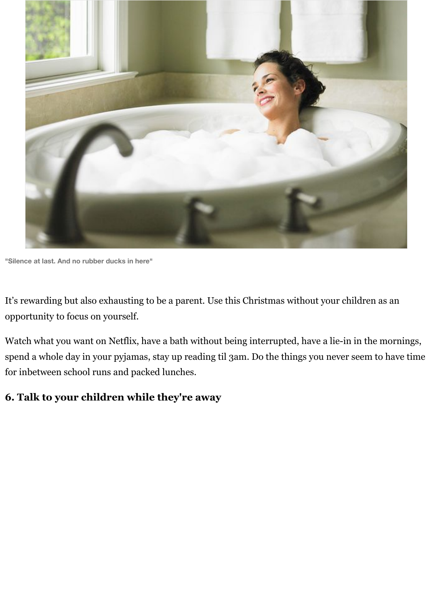

**"Silence at last. And no rubber ducks in here"**

It's rewarding but also exhausting to be a parent. Use this Christmas without your children as an opportunity to focus on yourself.

Watch what you want on Netflix, have a bath without being interrupted, have a lie-in in the mornings, spend a whole day in your pyjamas, stay up reading til 3am. Do the things you never seem to have time for inbetween school runs and packed lunches.

#### **6. Talk to your children while they're away**